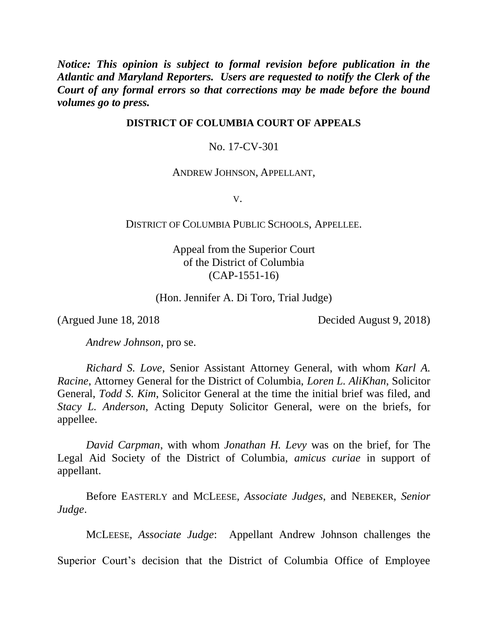*Notice: This opinion is subject to formal revision before publication in the Atlantic and Maryland Reporters. Users are requested to notify the Clerk of the Court of any formal errors so that corrections may be made before the bound volumes go to press.* 

## **DISTRICT OF COLUMBIA COURT OF APPEALS**

No. 17-CV-301

## ANDREW JOHNSON, APPELLANT,

V.

### DISTRICT OF COLUMBIA PUBLIC SCHOOLS, APPELLEE.

Appeal from the Superior Court of the District of Columbia (CAP-1551-16)

(Hon. Jennifer A. Di Toro, Trial Judge)

(Argued June 18, 2018 Decided August 9, 2018)

*Andrew Johnson*, pro se.

*Richard S. Love*, Senior Assistant Attorney General, with whom *Karl A. Racine*, Attorney General for the District of Columbia, *Loren L. AliKhan*, Solicitor General, *Todd S. Kim*, Solicitor General at the time the initial brief was filed, and *Stacy L. Anderson*, Acting Deputy Solicitor General, were on the briefs, for appellee.

*David Carpman*, with whom *Jonathan H. Levy* was on the brief, for The Legal Aid Society of the District of Columbia, *amicus curiae* in support of appellant.

Before EASTERLY and MCLEESE, *Associate Judges*, and NEBEKER, *Senior Judge*.

MCLEESE, *Associate Judge*: Appellant Andrew Johnson challenges the

Superior Court's decision that the District of Columbia Office of Employee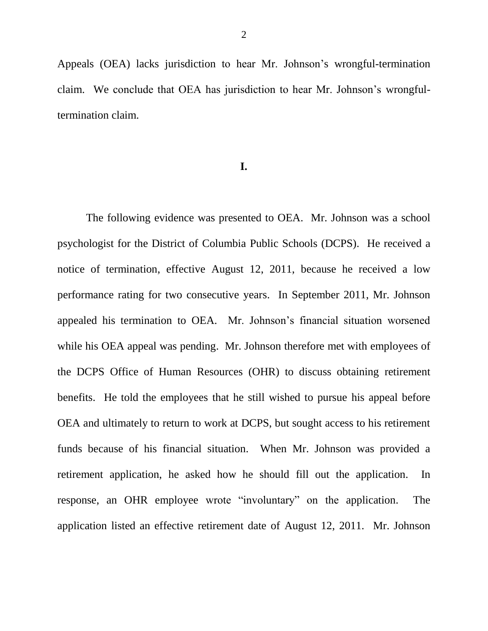Appeals (OEA) lacks jurisdiction to hear Mr. Johnson's wrongful-termination claim. We conclude that OEA has jurisdiction to hear Mr. Johnson's wrongfultermination claim.

#### **I.**

The following evidence was presented to OEA. Mr. Johnson was a school psychologist for the District of Columbia Public Schools (DCPS). He received a notice of termination, effective August 12, 2011, because he received a low performance rating for two consecutive years. In September 2011, Mr. Johnson appealed his termination to OEA. Mr. Johnson's financial situation worsened while his OEA appeal was pending. Mr. Johnson therefore met with employees of the DCPS Office of Human Resources (OHR) to discuss obtaining retirement benefits. He told the employees that he still wished to pursue his appeal before OEA and ultimately to return to work at DCPS, but sought access to his retirement funds because of his financial situation. When Mr. Johnson was provided a retirement application, he asked how he should fill out the application. In response, an OHR employee wrote "involuntary" on the application. The application listed an effective retirement date of August 12, 2011. Mr. Johnson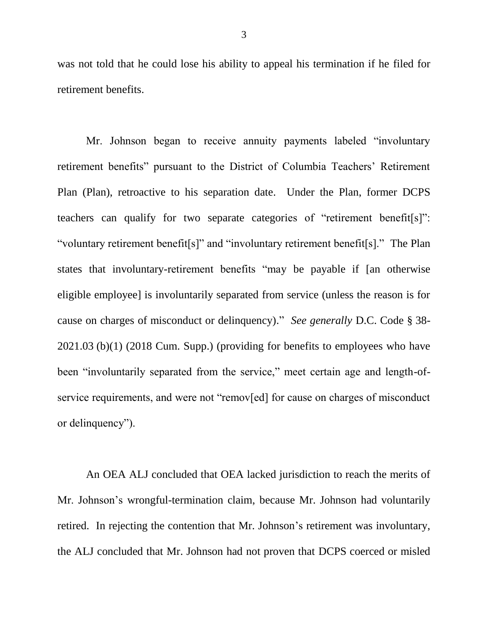was not told that he could lose his ability to appeal his termination if he filed for retirement benefits.

Mr. Johnson began to receive annuity payments labeled "involuntary retirement benefits" pursuant to the District of Columbia Teachers' Retirement Plan (Plan), retroactive to his separation date. Under the Plan, former DCPS teachers can qualify for two separate categories of "retirement benefit[s]": "voluntary retirement benefit[s]" and "involuntary retirement benefit[s]." The Plan states that involuntary-retirement benefits "may be payable if [an otherwise eligible employee] is involuntarily separated from service (unless the reason is for cause on charges of misconduct or delinquency)." *See generally* D.C. Code § 38- 2021.03 (b)(1) (2018 Cum. Supp.) (providing for benefits to employees who have been "involuntarily separated from the service," meet certain age and length-ofservice requirements, and were not "remov[ed] for cause on charges of misconduct or delinquency").

An OEA ALJ concluded that OEA lacked jurisdiction to reach the merits of Mr. Johnson's wrongful-termination claim, because Mr. Johnson had voluntarily retired. In rejecting the contention that Mr. Johnson's retirement was involuntary, the ALJ concluded that Mr. Johnson had not proven that DCPS coerced or misled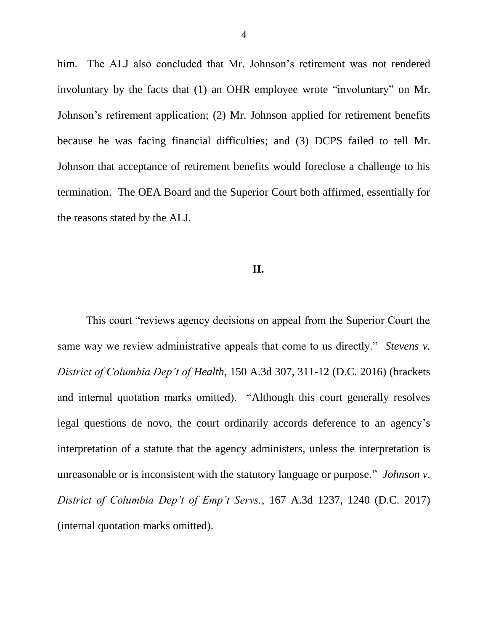him. The ALJ also concluded that Mr. Johnson's retirement was not rendered involuntary by the facts that (1) an OHR employee wrote "involuntary" on Mr. Johnson's retirement application; (2) Mr. Johnson applied for retirement benefits because he was facing financial difficulties; and (3) DCPS failed to tell Mr. Johnson that acceptance of retirement benefits would foreclose a challenge to his termination. The OEA Board and the Superior Court both affirmed, essentially for the reasons stated by the ALJ.

# **II.**

This court "reviews agency decisions on appeal from the Superior Court the same way we review administrative appeals that come to us directly." *Stevens v. District of Columbia Dep't of Health*, 150 A.3d 307, 311-12 (D.C. 2016) (brackets and internal quotation marks omitted). "Although this court generally resolves legal questions de novo, the court ordinarily accords deference to an agency's interpretation of a statute that the agency administers, unless the interpretation is unreasonable or is inconsistent with the statutory language or purpose." *Johnson v. District of Columbia Dep't of Emp't Servs.*, 167 A.3d 1237, 1240 (D.C. 2017) (internal quotation marks omitted).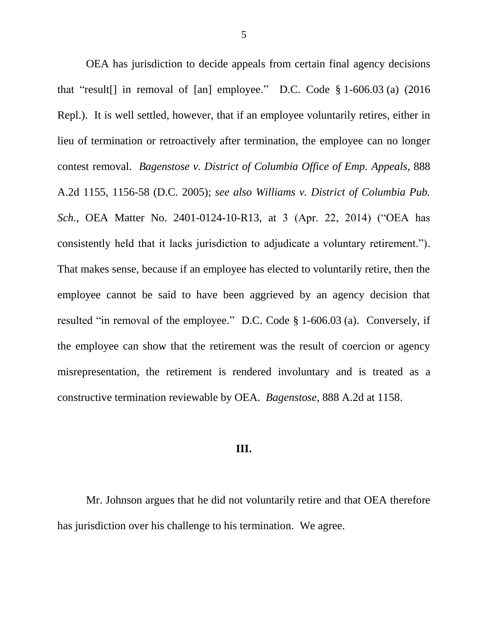OEA has jurisdiction to decide appeals from certain final agency decisions that "result[] in removal of [an] employee." D.C. Code § 1-606.03 (a) (2016 Repl.). It is well settled, however, that if an employee voluntarily retires, either in lieu of termination or retroactively after termination, the employee can no longer contest removal. *Bagenstose v. District of Columbia Office of Emp. Appeals*, 888 A.2d 1155, 1156-58 (D.C. 2005); *see also Williams v. District of Columbia Pub. Sch.*, OEA Matter No. 2401-0124-10-R13, at 3 (Apr. 22, 2014) ("OEA has consistently held that it lacks jurisdiction to adjudicate a voluntary retirement."). That makes sense, because if an employee has elected to voluntarily retire, then the employee cannot be said to have been aggrieved by an agency decision that resulted "in removal of the employee." D.C. Code § 1-606.03 (a). Conversely, if the employee can show that the retirement was the result of coercion or agency misrepresentation, the retirement is rendered involuntary and is treated as a constructive termination reviewable by OEA. *Bagenstose*, 888 A.2d at 1158.

# **III.**

Mr. Johnson argues that he did not voluntarily retire and that OEA therefore has jurisdiction over his challenge to his termination. We agree.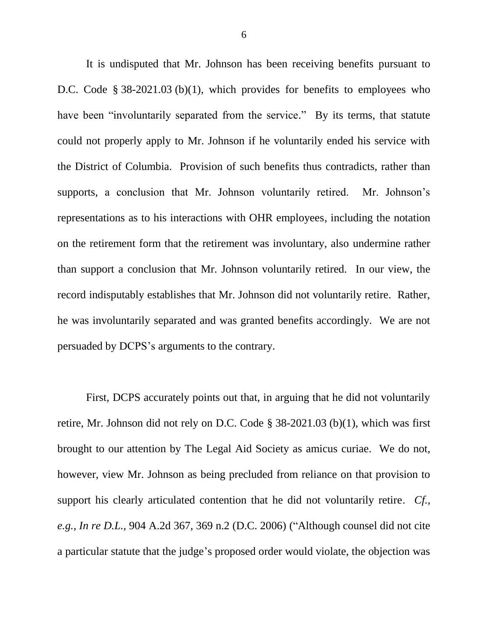It is undisputed that Mr. Johnson has been receiving benefits pursuant to D.C. Code § 38-2021.03 (b)(1), which provides for benefits to employees who have been "involuntarily separated from the service." By its terms, that statute could not properly apply to Mr. Johnson if he voluntarily ended his service with the District of Columbia. Provision of such benefits thus contradicts, rather than supports, a conclusion that Mr. Johnson voluntarily retired. Mr. Johnson's representations as to his interactions with OHR employees, including the notation on the retirement form that the retirement was involuntary, also undermine rather than support a conclusion that Mr. Johnson voluntarily retired. In our view, the record indisputably establishes that Mr. Johnson did not voluntarily retire. Rather, he was involuntarily separated and was granted benefits accordingly. We are not persuaded by DCPS's arguments to the contrary.

First, DCPS accurately points out that, in arguing that he did not voluntarily retire, Mr. Johnson did not rely on D.C. Code § 38-2021.03 (b)(1), which was first brought to our attention by The Legal Aid Society as amicus curiae. We do not, however, view Mr. Johnson as being precluded from reliance on that provision to support his clearly articulated contention that he did not voluntarily retire. *Cf., e.g.*, *In re D.L.*, 904 A.2d 367, 369 n.2 (D.C. 2006) ("Although counsel did not cite a particular statute that the judge's proposed order would violate, the objection was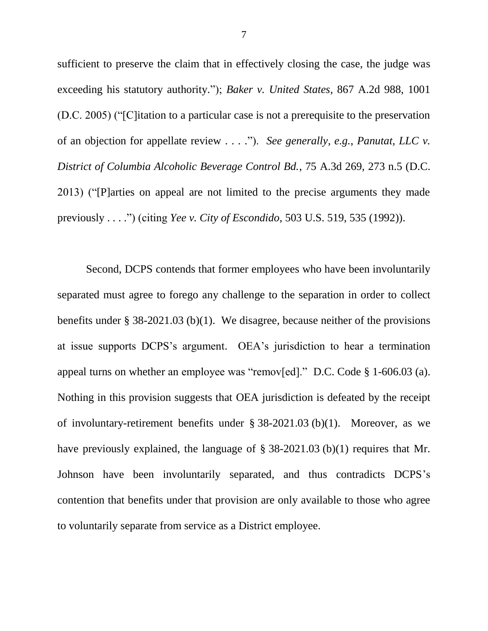sufficient to preserve the claim that in effectively closing the case, the judge was exceeding his statutory authority."); *Baker v. United States*, 867 A.2d 988, 1001 (D.C. 2005) ("[C]itation to a particular case is not a prerequisite to the preservation of an objection for appellate review . . . ."). *See generally, e.g.*, *Panutat, LLC v. District of Columbia Alcoholic Beverage Control Bd.*, 75 A.3d 269, 273 n.5 (D.C. 2013) ("[P]arties on appeal are not limited to the precise arguments they made previously . . . .") (citing *Yee v. City of Escondido*, 503 U.S. 519, 535 (1992)).

Second, DCPS contends that former employees who have been involuntarily separated must agree to forego any challenge to the separation in order to collect benefits under § 38-2021.03 (b)(1). We disagree, because neither of the provisions at issue supports DCPS's argument. OEA's jurisdiction to hear a termination appeal turns on whether an employee was "remov[ed]." D.C. Code § 1-606.03 (a). Nothing in this provision suggests that OEA jurisdiction is defeated by the receipt of involuntary-retirement benefits under § 38-2021.03 (b)(1). Moreover, as we have previously explained, the language of § 38-2021.03 (b)(1) requires that Mr. Johnson have been involuntarily separated, and thus contradicts DCPS's contention that benefits under that provision are only available to those who agree to voluntarily separate from service as a District employee.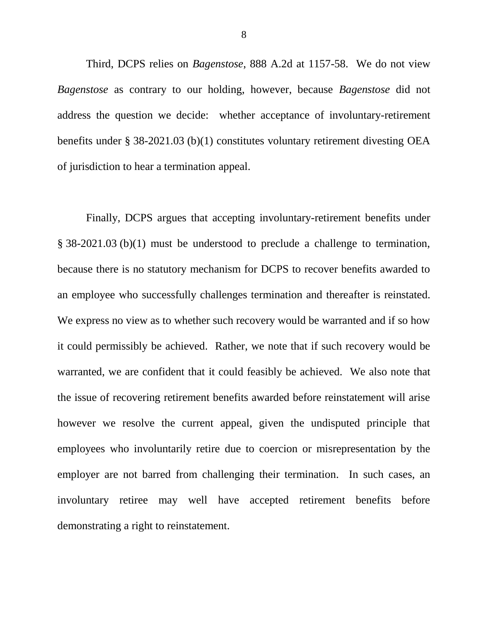Third, DCPS relies on *Bagenstose*, 888 A.2d at 1157-58. We do not view *Bagenstose* as contrary to our holding, however, because *Bagenstose* did not address the question we decide: whether acceptance of involuntary-retirement benefits under § 38-2021.03 (b)(1) constitutes voluntary retirement divesting OEA of jurisdiction to hear a termination appeal.

Finally, DCPS argues that accepting involuntary-retirement benefits under § 38-2021.03 (b)(1) must be understood to preclude a challenge to termination, because there is no statutory mechanism for DCPS to recover benefits awarded to an employee who successfully challenges termination and thereafter is reinstated. We express no view as to whether such recovery would be warranted and if so how it could permissibly be achieved. Rather, we note that if such recovery would be warranted, we are confident that it could feasibly be achieved. We also note that the issue of recovering retirement benefits awarded before reinstatement will arise however we resolve the current appeal, given the undisputed principle that employees who involuntarily retire due to coercion or misrepresentation by the employer are not barred from challenging their termination. In such cases, an involuntary retiree may well have accepted retirement benefits before demonstrating a right to reinstatement.